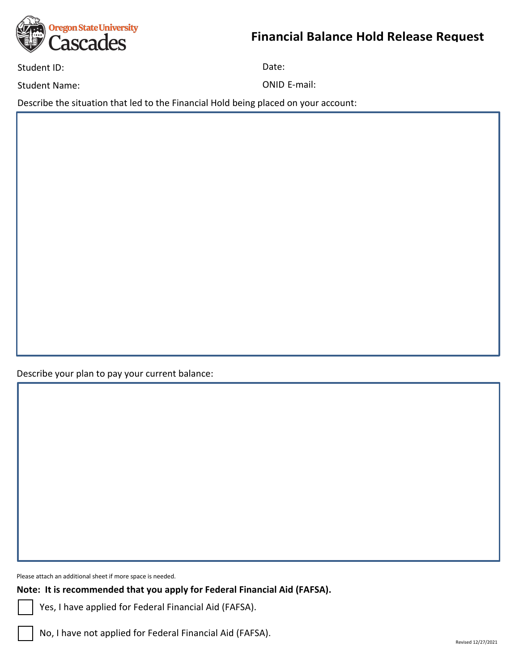

Student ID: Date: Date: Date: Date: Date: Date: Date: Date: Date: Date: Date: Date: Date: Date: Date: Date: Date: Date: Date: Date: Date: Date: Date: Date: Date: Date: Date: Date: Date: Date: Date: Date: Date: Date: Date:

Student Name: Case of Contractor Contractor Contractor Contractor Contractor Contractor Contractor Contractor Contractor Contractor Contractor Contractor Contractor Contractor Contractor Contractor Contractor Contractor Co

Describe the situation that led to the Financial Hold being placed on your account:

Describe your plan to pay your current balance:

Please attach an additional sheet if more space is needed.

**Note: It is recommended that you apply for Federal Financial Aid (FAFSA).** 

Yes, I have applied for Federal Financial Aid (FAFSA).

No, I have not applied for Federal Financial Aid (FAFSA).